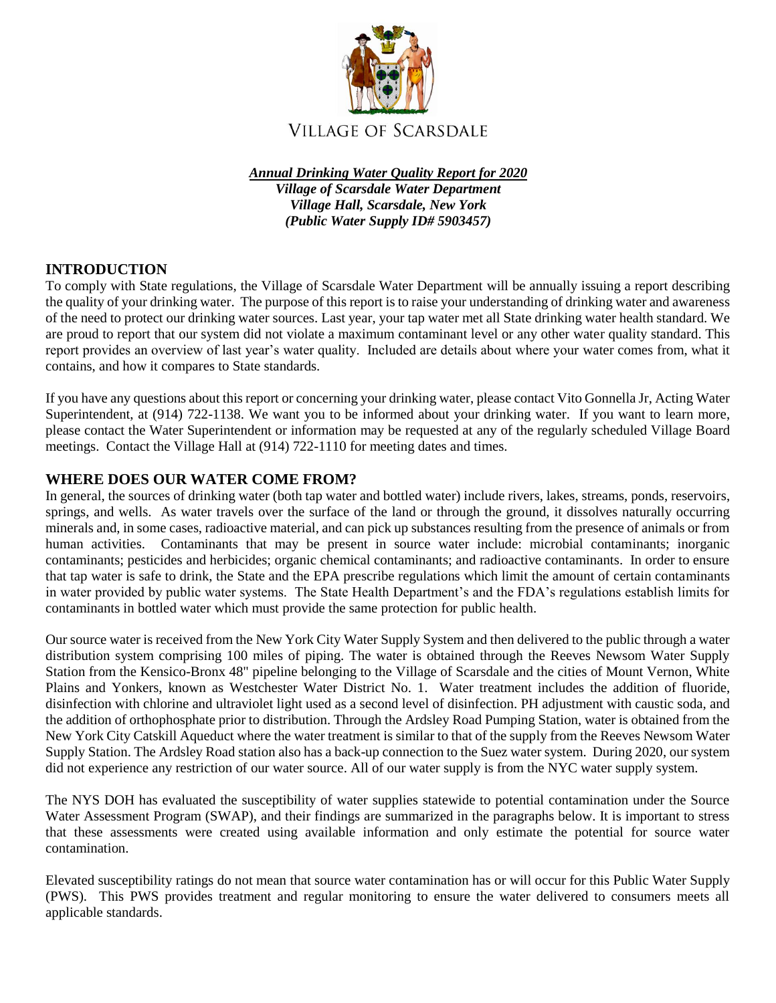

*Annual Drinking Water Quality Report for 2020 Village of Scarsdale Water Department Village Hall, Scarsdale, New York (Public Water Supply ID# 5903457)*

# **INTRODUCTION**

To comply with State regulations, the Village of Scarsdale Water Department will be annually issuing a report describing the quality of your drinking water. The purpose of this report is to raise your understanding of drinking water and awareness of the need to protect our drinking water sources. Last year, your tap water met all State drinking water health standard. We are proud to report that our system did not violate a maximum contaminant level or any other water quality standard. This report provides an overview of last year's water quality. Included are details about where your water comes from, what it contains, and how it compares to State standards.

If you have any questions about this report or concerning your drinking water, please contact Vito Gonnella Jr, Acting Water Superintendent, at (914) 722-1138. We want you to be informed about your drinking water. If you want to learn more, please contact the Water Superintendent or information may be requested at any of the regularly scheduled Village Board meetings. Contact the Village Hall at (914) 722-1110 for meeting dates and times.

## **WHERE DOES OUR WATER COME FROM?**

In general, the sources of drinking water (both tap water and bottled water) include rivers, lakes, streams, ponds, reservoirs, springs, and wells. As water travels over the surface of the land or through the ground, it dissolves naturally occurring minerals and, in some cases, radioactive material, and can pick up substances resulting from the presence of animals or from human activities. Contaminants that may be present in source water include: microbial contaminants; inorganic contaminants; pesticides and herbicides; organic chemical contaminants; and radioactive contaminants. In order to ensure that tap water is safe to drink, the State and the EPA prescribe regulations which limit the amount of certain contaminants in water provided by public water systems. The State Health Department's and the FDA's regulations establish limits for contaminants in bottled water which must provide the same protection for public health.

Our source water is received from the New York City Water Supply System and then delivered to the public through a water distribution system comprising 100 miles of piping. The water is obtained through the Reeves Newsom Water Supply Station from the Kensico-Bronx 48" pipeline belonging to the Village of Scarsdale and the cities of Mount Vernon, White Plains and Yonkers, known as Westchester Water District No. 1. Water treatment includes the addition of fluoride, disinfection with chlorine and ultraviolet light used as a second level of disinfection. PH adjustment with caustic soda, and the addition of orthophosphate prior to distribution. Through the Ardsley Road Pumping Station, water is obtained from the New York City Catskill Aqueduct where the water treatment is similar to that of the supply from the Reeves Newsom Water Supply Station. The Ardsley Road station also has a back-up connection to the Suez water system. During 2020, our system did not experience any restriction of our water source. All of our water supply is from the NYC water supply system.

The NYS DOH has evaluated the susceptibility of water supplies statewide to potential contamination under the Source Water Assessment Program (SWAP), and their findings are summarized in the paragraphs below. It is important to stress that these assessments were created using available information and only estimate the potential for source water contamination.

Elevated susceptibility ratings do not mean that source water contamination has or will occur for this Public Water Supply (PWS). This PWS provides treatment and regular monitoring to ensure the water delivered to consumers meets all applicable standards.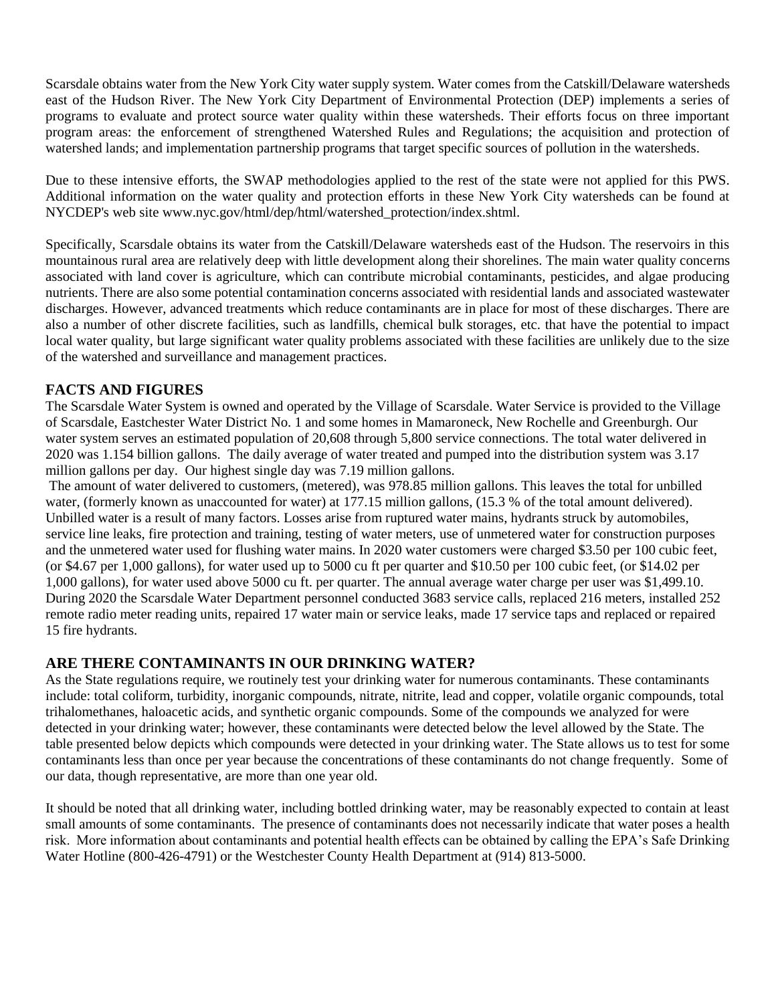Scarsdale obtains water from the New York City water supply system. Water comes from the Catskill/Delaware watersheds east of the Hudson River. The New York City Department of Environmental Protection (DEP) implements a series of programs to evaluate and protect source water quality within these watersheds. Their efforts focus on three important program areas: the enforcement of strengthened Watershed Rules and Regulations; the acquisition and protection of watershed lands; and implementation partnership programs that target specific sources of pollution in the watersheds.

Due to these intensive efforts, the SWAP methodologies applied to the rest of the state were not applied for this PWS. Additional information on the water quality and protection efforts in these New York City watersheds can be found at NYCDEP's web site www.nyc.gov/html/dep/html/watershed\_protection/index.shtml.

Specifically, Scarsdale obtains its water from the Catskill/Delaware watersheds east of the Hudson. The reservoirs in this mountainous rural area are relatively deep with little development along their shorelines. The main water quality concerns associated with land cover is agriculture, which can contribute microbial contaminants, pesticides, and algae producing nutrients. There are also some potential contamination concerns associated with residential lands and associated wastewater discharges. However, advanced treatments which reduce contaminants are in place for most of these discharges. There are also a number of other discrete facilities, such as landfills, chemical bulk storages, etc. that have the potential to impact local water quality, but large significant water quality problems associated with these facilities are unlikely due to the size of the watershed and surveillance and management practices.

## **FACTS AND FIGURES**

The Scarsdale Water System is owned and operated by the Village of Scarsdale. Water Service is provided to the Village of Scarsdale, Eastchester Water District No. 1 and some homes in Mamaroneck, New Rochelle and Greenburgh. Our water system serves an estimated population of 20,608 through 5,800 service connections. The total water delivered in 2020 was 1.154 billion gallons. The daily average of water treated and pumped into the distribution system was 3.17 million gallons per day. Our highest single day was 7.19 million gallons.

The amount of water delivered to customers, (metered), was 978.85 million gallons. This leaves the total for unbilled water, (formerly known as unaccounted for water) at 177.15 million gallons, (15.3 % of the total amount delivered). Unbilled water is a result of many factors. Losses arise from ruptured water mains, hydrants struck by automobiles, service line leaks, fire protection and training, testing of water meters, use of unmetered water for construction purposes and the unmetered water used for flushing water mains. In 2020 water customers were charged \$3.50 per 100 cubic feet, (or \$4.67 per 1,000 gallons), for water used up to 5000 cu ft per quarter and \$10.50 per 100 cubic feet, (or \$14.02 per 1,000 gallons), for water used above 5000 cu ft. per quarter. The annual average water charge per user was \$1,499.10. During 2020 the Scarsdale Water Department personnel conducted 3683 service calls, replaced 216 meters, installed 252 remote radio meter reading units, repaired 17 water main or service leaks, made 17 service taps and replaced or repaired 15 fire hydrants.

# **ARE THERE CONTAMINANTS IN OUR DRINKING WATER?**

As the State regulations require, we routinely test your drinking water for numerous contaminants. These contaminants include: total coliform, turbidity, inorganic compounds, nitrate, nitrite, lead and copper, volatile organic compounds, total trihalomethanes, haloacetic acids, and synthetic organic compounds. Some of the compounds we analyzed for were detected in your drinking water; however, these contaminants were detected below the level allowed by the State. The table presented below depicts which compounds were detected in your drinking water. The State allows us to test for some contaminants less than once per year because the concentrations of these contaminants do not change frequently. Some of our data, though representative, are more than one year old.

It should be noted that all drinking water, including bottled drinking water, may be reasonably expected to contain at least small amounts of some contaminants. The presence of contaminants does not necessarily indicate that water poses a health risk. More information about contaminants and potential health effects can be obtained by calling the EPA's Safe Drinking Water Hotline (800-426-4791) or the Westchester County Health Department at (914) 813-5000.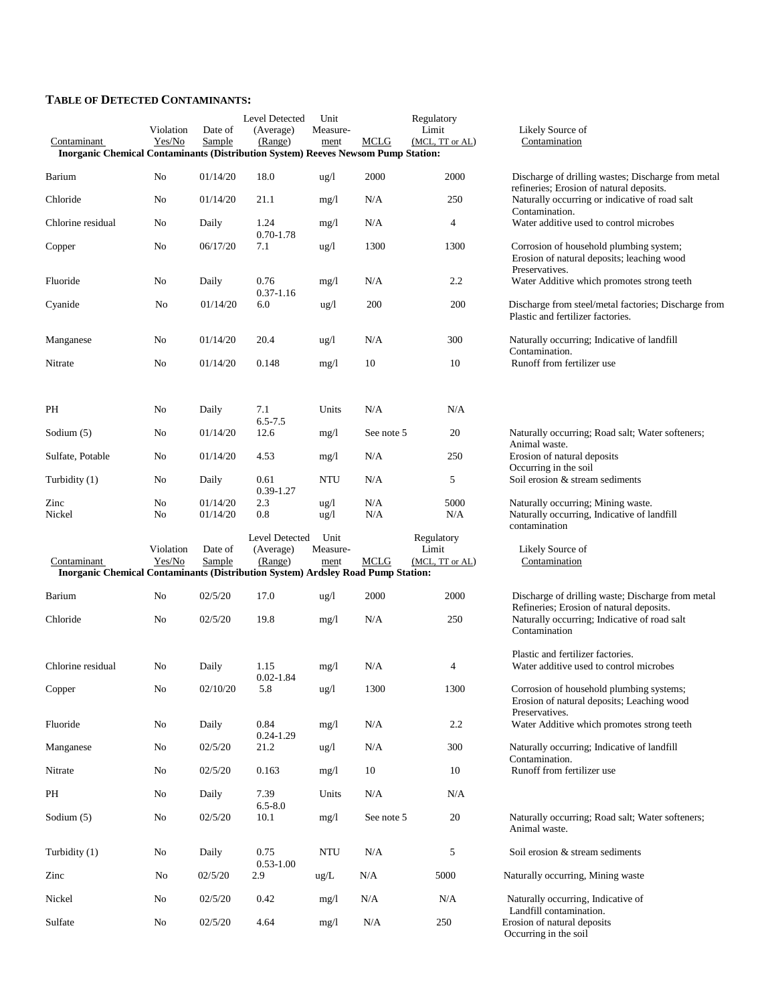#### **TABLE OF DETECTED CONTAMINANTS:**

|                                                                                                  |                     |                      | Level Detected              | Unit                    |            | Regulatory               |                                                                                                              |
|--------------------------------------------------------------------------------------------------|---------------------|----------------------|-----------------------------|-------------------------|------------|--------------------------|--------------------------------------------------------------------------------------------------------------|
| Contaminant<br>Inorganic Chemical Contaminants (Distribution System) Reeves Newsom Pump Station: | Violation<br>Yes/No | Date of<br>Sample    | (Average)<br>(Range)        | Measure-<br>ment        | MCLG       | Limit<br>(MCL, TT or AL) | Likely Source of<br>Contamination                                                                            |
| Barium                                                                                           | No                  | 01/14/20             | 18.0                        | ug/l                    | 2000       | 2000                     | Discharge of drilling wastes; Discharge from metal                                                           |
| Chloride                                                                                         | No                  | 01/14/20             | 21.1                        | mg/l                    | N/A        | 250                      | refineries; Erosion of natural deposits.<br>Naturally occurring or indicative of road salt<br>Contamination. |
| Chlorine residual                                                                                | No                  | Daily                | 1.24<br>$0.70 - 1.78$       | mg/l                    | N/A        | 4                        | Water additive used to control microbes                                                                      |
| Copper                                                                                           | No                  | 06/17/20             | 7.1                         | ug/l                    | 1300       | 1300                     | Corrosion of household plumbing system;<br>Erosion of natural deposits; leaching wood                        |
| Fluoride                                                                                         | No                  | Daily                | 0.76<br>$0.37 - 1.16$       | mg/1                    | N/A        | $2.2\,$                  | Preservatives.<br>Water Additive which promotes strong teeth                                                 |
| Cyanide                                                                                          | No                  | 01/14/20             | 6.0                         | ug/l                    | 200        | 200                      | Discharge from steel/metal factories; Discharge from<br>Plastic and fertilizer factories.                    |
| Manganese                                                                                        | No                  | 01/14/20             | 20.4                        | $\frac{u g}{l}$         | N/A        | 300                      | Naturally occurring; Indicative of landfill<br>Contamination.                                                |
| Nitrate                                                                                          | No                  | 01/14/20             | 0.148                       | mg/l                    | 10         | 10                       | Runoff from fertilizer use                                                                                   |
|                                                                                                  |                     |                      |                             |                         |            |                          |                                                                                                              |
| PH                                                                                               | No                  | Daily                | 7.1<br>$6.5 - 7.5$          | Units                   | N/A        | N/A                      |                                                                                                              |
| Sodium $(5)$                                                                                     | No                  | 01/14/20             | 12.6                        | mg/1                    | See note 5 | 20                       | Naturally occurring; Road salt; Water softeners;<br>Animal waste.                                            |
| Sulfate, Potable                                                                                 | No                  | 01/14/20             | 4.53                        | mg/l                    | N/A        | 250                      | Erosion of natural deposits<br>Occurring in the soil                                                         |
| Turbidity (1)                                                                                    | No                  | Daily                | 0.61<br>0.39-1.27           | NTU                     | N/A        | 5                        | Soil erosion & stream sediments                                                                              |
| Zinc<br>Nickel                                                                                   | No<br>No            | 01/14/20<br>01/14/20 | 2.3<br>0.8                  | ug/l<br>$\frac{u g}{l}$ | N/A<br>N/A | 5000<br>N/A              | Naturally occurring; Mining waste.<br>Naturally occurring, Indicative of landfill<br>contamination           |
|                                                                                                  | Violation           | Date of              | Level Detected<br>(Average) | Unit<br>Measure-        |            | Regulatory<br>Limit      | Likely Source of                                                                                             |
| Contaminant<br>Inorganic Chemical Contaminants (Distribution System) Ardsley Road Pump Station:  | Yes/No              | Sample               | (Range)                     | ment                    | MCLG       | (MCL, TT or AL)          | Contamination                                                                                                |
| Barium                                                                                           | N <sub>0</sub>      | 02/5/20              | 17.0                        | $\frac{1}{2}$           | 2000       | 2000                     | Discharge of drilling waste; Discharge from metal                                                            |
| Chloride                                                                                         | No                  | 02/5/20              | 19.8                        | mg/l                    | N/A        | 250                      | Refineries; Erosion of natural deposits.<br>Naturally occurring; Indicative of road salt<br>Contamination    |
| Chlorine residual                                                                                | No                  | Daily                | 1.15                        | mg/l                    | N/A        | 4                        | Plastic and fertilizer factories.<br>Water additive used to control microbes                                 |
| Copper                                                                                           | $\rm No$            | 02/10/20             | $0.02 - 1.84$<br>5.8        | ug/l                    | 1300       | 1300                     | Corrosion of household plumbing systems;<br>Erosion of natural deposits; Leaching wood                       |
| Fluoride                                                                                         | No                  | Daily                | 0.84                        | mg/l                    | N/A        | $2.2\,$                  | Preservatives.<br>Water Additive which promotes strong teeth                                                 |
| Manganese                                                                                        | No                  | 02/5/20              | $0.24 - 1.29$<br>21.2       | ug/l                    | N/A        | 300                      | Naturally occurring; Indicative of landfill                                                                  |
| Nitrate                                                                                          | No                  | 02/5/20              | 0.163                       | mg/l                    | 10         | 10                       | Contamination.<br>Runoff from fertilizer use                                                                 |
| PH                                                                                               | No                  | Daily                | 7.39                        | Units                   | N/A        | N/A                      |                                                                                                              |
| Sodium (5)                                                                                       | No                  | 02/5/20              | $6.5 - 8.0$<br>10.1         | mg/1                    | See note 5 | 20                       | Naturally occurring; Road salt; Water softeners;<br>Animal waste.                                            |
| Turbidity (1)                                                                                    | No                  | Daily                | 0.75                        | <b>NTU</b>              | N/A        | 5                        | Soil erosion & stream sediments                                                                              |
| Zinc                                                                                             | No                  | 02/5/20              | $0.53 - 1.00$<br>2.9        | $\text{ug/L}$           | N/A        | 5000                     | Naturally occurring, Mining waste                                                                            |
| Nickel                                                                                           | No                  | 02/5/20              | 0.42                        | mg/l                    | N/A        | N/A                      | Naturally occurring, Indicative of<br>Landfill contamination.                                                |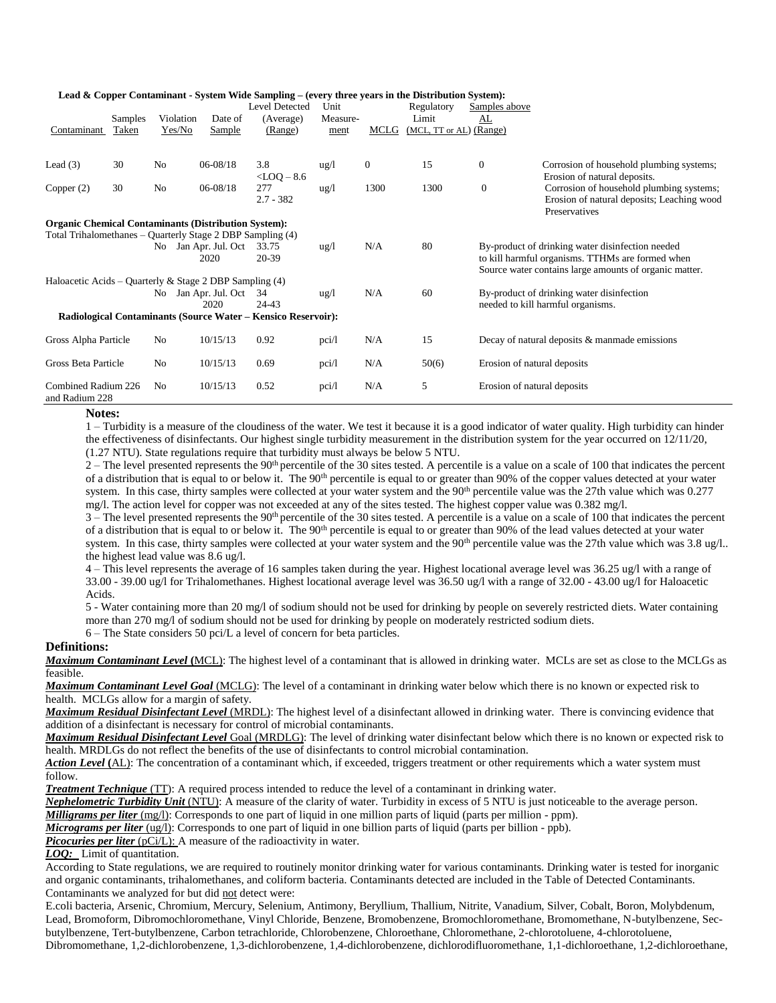|                      |         |                | Lead & Copper Contaminant - System Wide Sampling – (every three years in the Distribution System): |                 |                 |                |                         |                             |                                                        |
|----------------------|---------|----------------|----------------------------------------------------------------------------------------------------|-----------------|-----------------|----------------|-------------------------|-----------------------------|--------------------------------------------------------|
|                      |         |                |                                                                                                    | Level Detected  | Unit            |                | Regulatory              | Samples above               |                                                        |
|                      | Samples |                | Violation<br>Date of                                                                               | (Average)       | Measure-        |                | Limit                   | AL                          |                                                        |
| Contaminant          | Taken   |                | Yes/No<br><b>Sample</b>                                                                            | (Range)         | ment            | MCLG           | (MCL, TT or AL) (Range) |                             |                                                        |
|                      |         |                |                                                                                                    |                 |                 |                |                         |                             |                                                        |
| Lead $(3)$           | 30      | N <sub>0</sub> | 06-08/18                                                                                           | 3.8             | $\frac{u g}{l}$ | $\overline{0}$ | 15                      | $\mathbf{0}$                | Corrosion of household plumbing systems;               |
|                      |         |                |                                                                                                    | $<$ LOQ $-$ 8.6 |                 |                |                         |                             | Erosion of natural deposits.                           |
| Copper $(2)$         | 30      | N <sub>o</sub> | $06 - 08/18$                                                                                       | 277             | $\frac{u g}{l}$ | 1300           | 1300                    | $\boldsymbol{0}$            | Corrosion of household plumbing systems;               |
|                      |         |                |                                                                                                    | $2.7 - 382$     |                 |                |                         |                             | Erosion of natural deposits; Leaching wood             |
|                      |         |                |                                                                                                    |                 |                 |                |                         |                             | Preservatives                                          |
|                      |         |                | <b>Organic Chemical Contaminants (Distribution System):</b>                                        |                 |                 |                |                         |                             |                                                        |
|                      |         |                | Total Trihalomethanes – Quarterly Stage 2 DBP Sampling (4)                                         |                 |                 |                |                         |                             |                                                        |
|                      |         |                | No Jan Apr. Jul. Oct                                                                               | 33.75           | $\frac{u g}{l}$ | N/A            | 80                      |                             | By-product of drinking water disinfection needed       |
|                      |         |                | 2020                                                                                               | 20-39           |                 |                |                         |                             | to kill harmful organisms. TTHMs are formed when       |
|                      |         |                |                                                                                                    |                 |                 |                |                         |                             | Source water contains large amounts of organic matter. |
|                      |         |                | Haloacetic Acids – Quarterly & Stage 2 DBP Sampling $(4)$                                          |                 |                 |                |                         |                             |                                                        |
|                      |         |                | No Jan Apr. Jul. Oct                                                                               | 34              | $\frac{u g}{l}$ | N/A            | 60                      |                             | By-product of drinking water disinfection              |
|                      |         |                | 2020                                                                                               | 24-43           |                 |                |                         |                             | needed to kill harmful organisms.                      |
|                      |         |                | Radiological Contaminants (Source Water – Kensico Reservoir):                                      |                 |                 |                |                         |                             |                                                        |
| Gross Alpha Particle |         | N <sub>0</sub> | 10/15/13                                                                                           | 0.92            | pci/l           | N/A            | 15                      |                             | Decay of natural deposits & manmade emissions          |
|                      |         |                |                                                                                                    |                 |                 |                |                         |                             |                                                        |
| Gross Beta Particle  |         | No             | 10/15/13                                                                                           | 0.69            | pci/l           | N/A            | 50(6)                   | Erosion of natural deposits |                                                        |
|                      |         |                |                                                                                                    |                 |                 |                |                         |                             |                                                        |
| Combined Radium 226  |         | N <sub>0</sub> | 10/15/13                                                                                           | 0.52            | pci/l           | N/A            | 5                       | Erosion of natural deposits |                                                        |
| and Radium 228       |         |                |                                                                                                    |                 |                 |                |                         |                             |                                                        |

#### **Lead & Copper Contaminant - System Wide Sampling – (every three years in the Distribution System):**

**Notes:**

1 – Turbidity is a measure of the cloudiness of the water. We test it because it is a good indicator of water quality. High turbidity can hinder the effectiveness of disinfectants. Our highest single turbidity measurement in the distribution system for the year occurred on 12/11/20, (1.27 NTU). State regulations require that turbidity must always be below 5 NTU.

 $2 -$  The level presented represents the 90<sup>th</sup> percentile of the 30 sites tested. A percentile is a value on a scale of 100 that indicates the percent of a distribution that is equal to or below it. The 90<sup>th</sup> percentile is equal to or greater than 90% of the copper values detected at your water system. In this case, thirty samples were collected at your water system and the 90<sup>th</sup> percentile value was the 27th value which was 0.277 mg/l. The action level for copper was not exceeded at any of the sites tested. The highest copper value was 0.382 mg/l.

 $3$  – The level presented represents the 90<sup>th</sup> percentile of the 30 sites tested. A percentile is a value on a scale of 100 that indicates the percent of a distribution that is equal to or below it. The 90<sup>th</sup> percentile is equal to or greater than 90% of the lead values detected at your water system. In this case, thirty samples were collected at your water system and the 90<sup>th</sup> percentile value was the 27th value which was 3.8 ug/l.. the highest lead value was 8.6 ug/l.

4 – This level represents the average of 16 samples taken during the year. Highest locational average level was 36.25 ug/l with a range of 33.00 - 39.00 ug/l for Trihalomethanes. Highest locational average level was 36.50 ug/l with a range of 32.00 - 43.00 ug/l for Haloacetic Acids.

5 - Water containing more than 20 mg/l of sodium should not be used for drinking by people on severely restricted diets. Water containing more than 270 mg/l of sodium should not be used for drinking by people on moderately restricted sodium diets.

6 – The State considers 50 pci/L a level of concern for beta particles.

#### **Definitions:**

*Maximum Contaminant Level* **(**MCL): The highest level of a contaminant that is allowed in drinking water. MCLs are set as close to the MCLGs as feasible.

*Maximum Contaminant Level Goal* (MCLG): The level of a contaminant in drinking water below which there is no known or expected risk to health. MCLGs allow for a margin of safety.

*Maximum Residual Disinfectant Level* (MRDL): The highest level of a disinfectant allowed in drinking water. There is convincing evidence that addition of a disinfectant is necessary for control of microbial contaminants.

*Maximum Residual Disinfectant Level* Goal (MRDLG): The level of drinking water disinfectant below which there is no known or expected risk to health. MRDLGs do not reflect the benefits of the use of disinfectants to control microbial contamination.

*Action Level* (AL): The concentration of a contaminant which, if exceeded, triggers treatment or other requirements which a water system must follow.

*Treatment Technique* (TT): A required process intended to reduce the level of a contaminant in drinking water.

*Nephelometric Turbidity Unit* (NTU): A measure of the clarity of water. Turbidity in excess of 5 NTU is just noticeable to the average person.

*Milligrams per liter* (mg/l): Corresponds to one part of liquid in one million parts of liquid (parts per million - ppm).

*Micrograms per liter* (ug/l): Corresponds to one part of liquid in one billion parts of liquid (parts per billion - ppb).

*Picocuries per liter* (pCi/L): A measure of the radioactivity in water.

*LOQ:* Limit of quantitation.

According to State regulations, we are required to routinely monitor drinking water for various contaminants. Drinking water is tested for inorganic and organic contaminants, trihalomethanes, and coliform bacteria. Contaminants detected are included in the Table of Detected Contaminants. Contaminants we analyzed for but did not detect were:

E.coli bacteria, Arsenic, Chromium, Mercury, Selenium, Antimony, Beryllium, Thallium, Nitrite, Vanadium, Silver, Cobalt, Boron, Molybdenum, Lead, Bromoform, Dibromochloromethane, Vinyl Chloride, Benzene, Bromobenzene, Bromochloromethane, Bromomethane, N-butylbenzene, Secbutylbenzene, Tert-butylbenzene, Carbon tetrachloride, Chlorobenzene, Chloroethane, Chloromethane, 2-chlorotoluene, 4-chlorotoluene, Dibromomethane, 1,2-dichlorobenzene, 1,3-dichlorobenzene, 1,4-dichlorobenzene, dichlorodifluoromethane, 1,1-dichloroethane, 1,2-dichloroethane,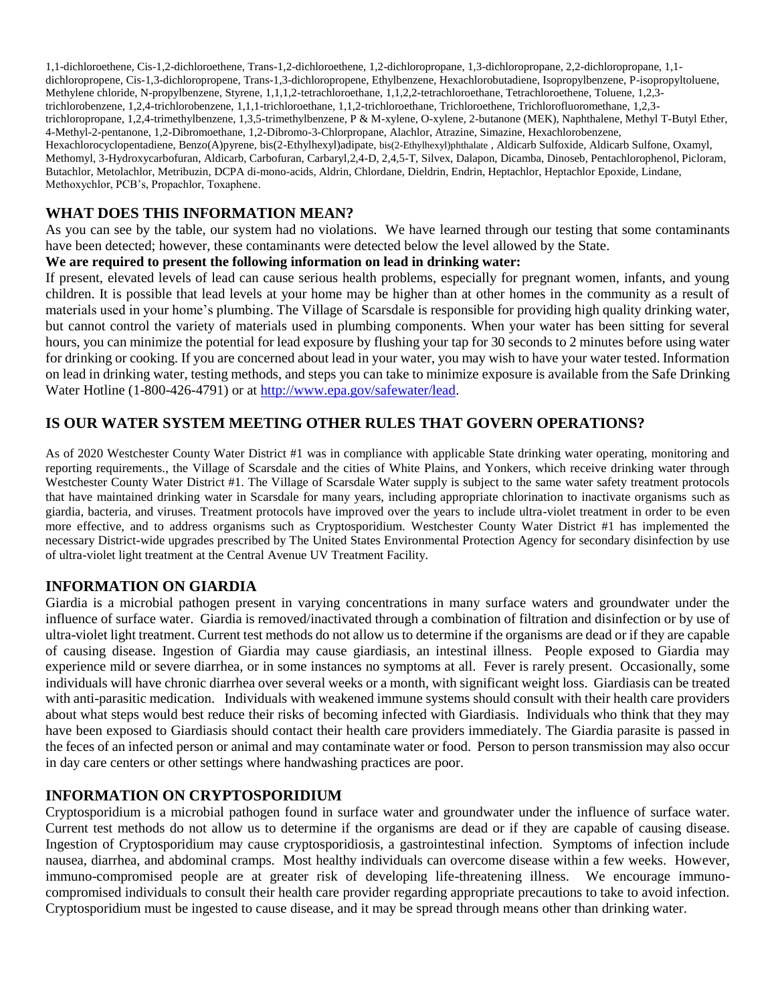1,1-dichloroethene, Cis-1,2-dichloroethene, Trans-1,2-dichloroethene, 1,2-dichloropropane, 1,3-dichloropropane, 2,2-dichloropropane, 1,1 dichloropropene, Cis-1,3-dichloropropene, Trans-1,3-dichloropropene, Ethylbenzene, Hexachlorobutadiene, Isopropylbenzene, P-isopropyltoluene, Methylene chloride, N-propylbenzene, Styrene, 1,1,1,2-tetrachloroethane, 1,1,2,2-tetrachloroethane, Tetrachloroethene, Toluene, 1,2,3 trichlorobenzene, 1,2,4-trichlorobenzene, 1,1,1-trichloroethane, 1,1,2-trichloroethane, Trichloroethene, Trichlorofluoromethane, 1,2,3 trichloropropane, 1,2,4-trimethylbenzene, 1,3,5-trimethylbenzene, P & M-xylene, O-xylene, 2-butanone (MEK), Naphthalene, Methyl T-Butyl Ether, 4-Methyl-2-pentanone, 1,2-Dibromoethane, 1,2-Dibromo-3-Chlorpropane, Alachlor, Atrazine, Simazine, Hexachlorobenzene, Hexachlorocyclopentadiene, Benzo(A)pyrene, bis(2-Ethylhexyl)adipate, bis(2-Ethylhexyl)phthalate , Aldicarb Sulfoxide, Aldicarb Sulfone, Oxamyl, Methomyl, 3-Hydroxycarbofuran, Aldicarb, Carbofuran, Carbaryl,2,4-D, 2,4,5-T, Silvex, Dalapon, Dicamba, Dinoseb, Pentachlorophenol, Picloram, Butachlor, Metolachlor, Metribuzin, DCPA di-mono-acids, Aldrin, Chlordane, Dieldrin, Endrin, Heptachlor, Heptachlor Epoxide, Lindane, Methoxychlor, PCB's, Propachlor, Toxaphene.

## **WHAT DOES THIS INFORMATION MEAN?**

As you can see by the table, our system had no violations. We have learned through our testing that some contaminants have been detected; however, these contaminants were detected below the level allowed by the State.

#### **We are required to present the following information on lead in drinking water:**

If present, elevated levels of lead can cause serious health problems, especially for pregnant women, infants, and young children. It is possible that lead levels at your home may be higher than at other homes in the community as a result of materials used in your home's plumbing. The Village of Scarsdale is responsible for providing high quality drinking water, but cannot control the variety of materials used in plumbing components. When your water has been sitting for several hours, you can minimize the potential for lead exposure by flushing your tap for 30 seconds to 2 minutes before using water for drinking or cooking. If you are concerned about lead in your water, you may wish to have your water tested. Information on lead in drinking water, testing methods, and steps you can take to minimize exposure is available from the Safe Drinking Water Hotline (1-800-426-4791) or at [http://www.epa.gov/safewater/lead.](http://www.epa.gov/safewater/lead)

## **IS OUR WATER SYSTEM MEETING OTHER RULES THAT GOVERN OPERATIONS?**

As of 2020 Westchester County Water District #1 was in compliance with applicable State drinking water operating, monitoring and reporting requirements., the Village of Scarsdale and the cities of White Plains, and Yonkers, which receive drinking water through Westchester County Water District #1. The Village of Scarsdale Water supply is subject to the same water safety treatment protocols that have maintained drinking water in Scarsdale for many years, including appropriate chlorination to inactivate organisms such as giardia, bacteria, and viruses. Treatment protocols have improved over the years to include ultra-violet treatment in order to be even more effective, and to address organisms such as Cryptosporidium. Westchester County Water District #1 has implemented the necessary District-wide upgrades prescribed by The United States Environmental Protection Agency for secondary disinfection by use of ultra-violet light treatment at the Central Avenue UV Treatment Facility.

## **INFORMATION ON GIARDIA**

Giardia is a microbial pathogen present in varying concentrations in many surface waters and groundwater under the influence of surface water. Giardia is removed/inactivated through a combination of filtration and disinfection or by use of ultra-violet light treatment. Current test methods do not allow us to determine if the organisms are dead or if they are capable of causing disease. Ingestion of Giardia may cause giardiasis, an intestinal illness. People exposed to Giardia may experience mild or severe diarrhea, or in some instances no symptoms at all. Fever is rarely present. Occasionally, some individuals will have chronic diarrhea over several weeks or a month, with significant weight loss. Giardiasis can be treated with anti-parasitic medication. Individuals with weakened immune systems should consult with their health care providers about what steps would best reduce their risks of becoming infected with Giardiasis. Individuals who think that they may have been exposed to Giardiasis should contact their health care providers immediately. The Giardia parasite is passed in the feces of an infected person or animal and may contaminate water or food. Person to person transmission may also occur in day care centers or other settings where handwashing practices are poor.

## **INFORMATION ON CRYPTOSPORIDIUM**

Cryptosporidium is a microbial pathogen found in surface water and groundwater under the influence of surface water. Current test methods do not allow us to determine if the organisms are dead or if they are capable of causing disease. Ingestion of Cryptosporidium may cause cryptosporidiosis, a gastrointestinal infection. Symptoms of infection include nausea, diarrhea, and abdominal cramps. Most healthy individuals can overcome disease within a few weeks. However, immuno-compromised people are at greater risk of developing life-threatening illness. We encourage immunocompromised individuals to consult their health care provider regarding appropriate precautions to take to avoid infection. Cryptosporidium must be ingested to cause disease, and it may be spread through means other than drinking water.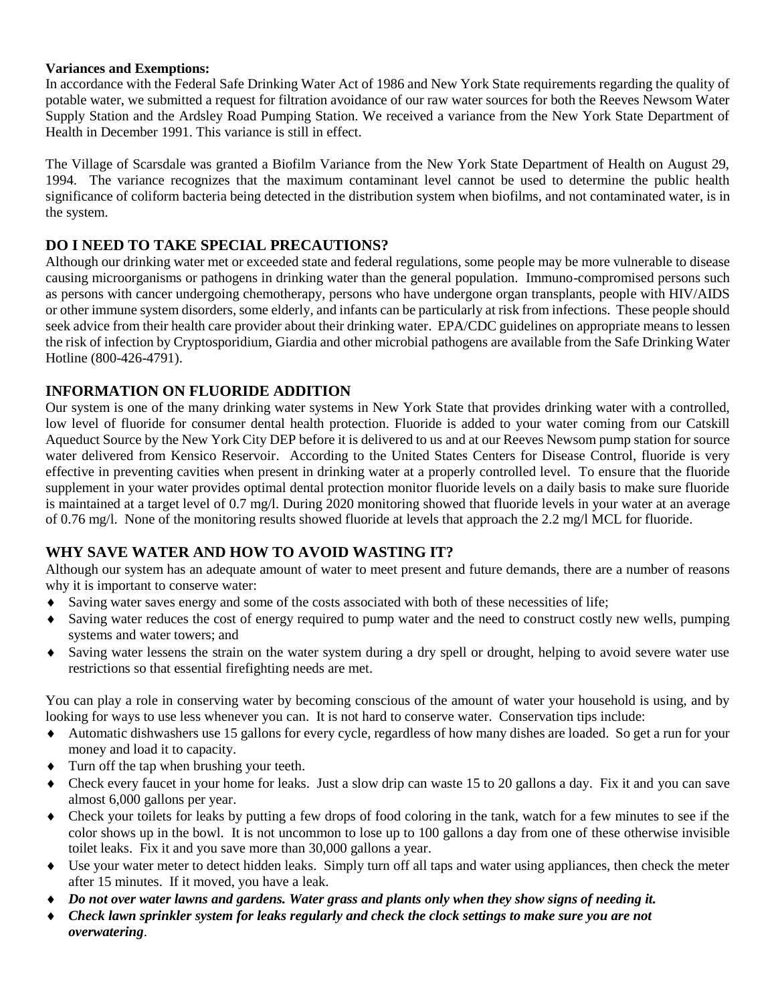#### **Variances and Exemptions:**

In accordance with the Federal Safe Drinking Water Act of 1986 and New York State requirements regarding the quality of potable water, we submitted a request for filtration avoidance of our raw water sources for both the Reeves Newsom Water Supply Station and the Ardsley Road Pumping Station. We received a variance from the New York State Department of Health in December 1991. This variance is still in effect.

The Village of Scarsdale was granted a Biofilm Variance from the New York State Department of Health on August 29, 1994. The variance recognizes that the maximum contaminant level cannot be used to determine the public health significance of coliform bacteria being detected in the distribution system when biofilms, and not contaminated water, is in the system.

# **DO I NEED TO TAKE SPECIAL PRECAUTIONS?**

Although our drinking water met or exceeded state and federal regulations, some people may be more vulnerable to disease causing microorganisms or pathogens in drinking water than the general population. Immuno-compromised persons such as persons with cancer undergoing chemotherapy, persons who have undergone organ transplants, people with HIV/AIDS or other immune system disorders, some elderly, and infants can be particularly at risk from infections. These people should seek advice from their health care provider about their drinking water. EPA/CDC guidelines on appropriate means to lessen the risk of infection by Cryptosporidium, Giardia and other microbial pathogens are available from the Safe Drinking Water Hotline (800-426-4791).

# **INFORMATION ON FLUORIDE ADDITION**

Our system is one of the many drinking water systems in New York State that provides drinking water with a controlled, low level of fluoride for consumer dental health protection. Fluoride is added to your water coming from our Catskill Aqueduct Source by the New York City DEP before it is delivered to us and at our Reeves Newsom pump station for source water delivered from Kensico Reservoir. According to the United States Centers for Disease Control, fluoride is very effective in preventing cavities when present in drinking water at a properly controlled level. To ensure that the fluoride supplement in your water provides optimal dental protection monitor fluoride levels on a daily basis to make sure fluoride is maintained at a target level of 0.7 mg/l. During 2020 monitoring showed that fluoride levels in your water at an average of 0.76 mg/l. None of the monitoring results showed fluoride at levels that approach the 2.2 mg/l MCL for fluoride.

# **WHY SAVE WATER AND HOW TO AVOID WASTING IT?**

Although our system has an adequate amount of water to meet present and future demands, there are a number of reasons why it is important to conserve water:

- Saving water saves energy and some of the costs associated with both of these necessities of life;
- Saving water reduces the cost of energy required to pump water and the need to construct costly new wells, pumping systems and water towers; and
- Saving water lessens the strain on the water system during a dry spell or drought, helping to avoid severe water use restrictions so that essential firefighting needs are met.

You can play a role in conserving water by becoming conscious of the amount of water your household is using, and by looking for ways to use less whenever you can. It is not hard to conserve water. Conservation tips include:

- Automatic dishwashers use 15 gallons for every cycle, regardless of how many dishes are loaded. So get a run for your money and load it to capacity.
- Turn off the tap when brushing your teeth.
- Check every faucet in your home for leaks. Just a slow drip can waste 15 to 20 gallons a day. Fix it and you can save almost 6,000 gallons per year.
- Check your toilets for leaks by putting a few drops of food coloring in the tank, watch for a few minutes to see if the color shows up in the bowl. It is not uncommon to lose up to 100 gallons a day from one of these otherwise invisible toilet leaks. Fix it and you save more than 30,000 gallons a year.
- Use your water meter to detect hidden leaks. Simply turn off all taps and water using appliances, then check the meter after 15 minutes. If it moved, you have a leak.
- *Do not over water lawns and gardens. Water grass and plants only when they show signs of needing it.*
- *Check lawn sprinkler system for leaks regularly and check the clock settings to make sure you are not overwatering*.